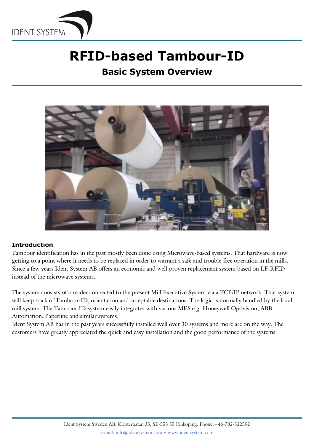

# **RFID-based Tambour-ID**

**Basic System Overview**



### **Introduction**

Tambour identification has in the past mostly been done using Microwave-based systems. That hardware is now getting to a point where it needs to be replaced in order to warrant a safe and trouble-free operation in the mills. Since a few years Ident System AB offers an economic and well-proven replacement system based on LF-RFID instead of the microwave systems.

The system consists of a reader connected to the present Mill Executive System via a TCP/IP network. That system will keep track of Tambour-ID, orientation and acceptable destinations. The logic is normally handled by the local mill system. The Tambour ID-system easily integrates with various MES e.g. Honeywell Optivision, ABB Automation, Paperline and similar systems.

Ident System AB has in the past years successfully installed well over 30 systems and more are on the way. The customers have greatly appreciated the quick and easy installation and the good performance of the systems.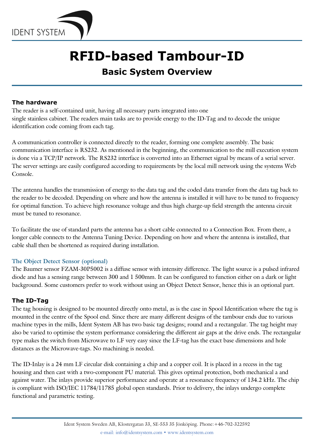

# **RFID-based Tambour-ID**

### **Basic System Overview**

### **The hardware**

The reader is a self-contained unit, having all necessary parts integrated into one single stainless cabinet. The readers main tasks are to provide energy to the ID-Tag and to decode the unique identification code coming from each tag.

A communication controller is connected directly to the reader, forming one complete assembly. The basic communication interface is RS232. As mentioned in the beginning, the communication to the mill execution system is done via a TCP/IP network. The RS232 interface is converted into an Ethernet signal by means of a serial server. The server settings are easily configured according to requirements by the local mill network using the systems Web Console.

The antenna handles the transmission of energy to the data tag and the coded data transfer from the data tag back to the reader to be decoded. Depending on where and how the antenna is installed it will have to be tuned to frequency for optimal function. To achieve high resonance voltage and thus high charge-up field strength the antenna circuit must be tuned to resonance.

To facilitate the use of standard parts the antenna has a short cable connected to a Connection Box. From there, a longer cable connects to the Antenna Tuning Device. Depending on how and where the antenna is installed, that cable shall then be shortened as required during installation.

### **The Object Detect Sensor (optional)**

The Baumer sensor FZAM-30P5002 is a diffuse sensor with intensity difference. The light source is a pulsed infrared diode and has a sensing range between 300 and 1 500mm. It can be configured to function either on a dark or light background. Some customers prefer to work without using an Object Detect Sensor, hence this is an optional part.

### **The ID-Tag**

The tag housing is designed to be mounted directly onto metal, as is the case in Spool Identification where the tag is mounted in the centre of the Spool end. Since there are many different designs of the tambour ends due to various machine types in the mills, Ident System AB has two basic tag designs; round and a rectangular. The tag height may also be varied to optimise the system performance considering the different air gaps at the drive ends. The rectangular type makes the switch from Microwave to LF very easy since the LF-tag has the exact base dimensions and hole distances as the Microwave-tags. No machining is needed.

The ID-Inlay is a 24 mm LF circular disk containing a chip and a copper coil. It is placed in a recess in the tag housing and then cast with a two-component PU material. This gives optimal protection, both mechanical a and against water. The inlays provide superior performance and operate at a resonance frequency of 134.2 kHz. The chip is compliant with ISO/IEC 11784/11785 global open standards. Prior to delivery, the inlays undergo complete functional and parametric testing.